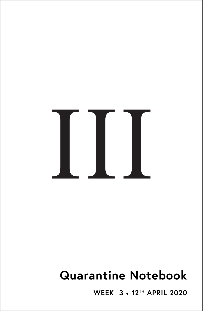# III

# **Quarantine Notebook**

**WEEK 3** • **12TH APRIL 2020**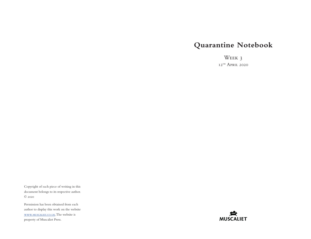## **Quarantine Notebook**

Week 3  $12$ <sup>TH</sup> April 2020

Copyright of each piece of writing in this document belongs to its respective author. © 2020

Permission has been obtained from each author to display this work on the website [www.muscaliet.co.uk.](https://www.muscaliet.co.uk) The website is property of Muscaliet Press.

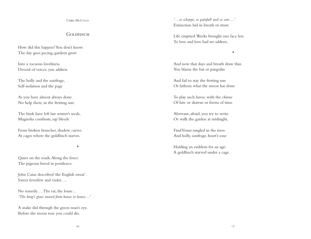### CHRIS McCULLY

### GOI DEINCH

How did this happen? You don't know. The day goes pacing, gardens grow

Into a vacuous loveliness. Devoid of voices, you address

The holly and the saxifrage, Self-isolation and the page

As you have almost always done. No help there, in the fretting sun:

The birds have left last winter's seeds, Magnolia combusts, sap bleeds

From broken branches, shadow carves At cages where the goldfinch starves.

\*

Quiet on the roads. Along the fence The pigeons breed in pestilence.

John Caius described 'the English sweat'. Sweet feverfew and violet….

No remedy…. The rat, the louse… *'The king's grase moved from house to house…'*

A snake slid through the green man's eye. Before the moon rose you could die.

*'…so scharpe, so painfull and so sore….'* Extinction hid in breath or straw.

Life emptied. Weeks brought one face less To love and love had no address.

\*

And now that days and breath draw thin You blame the bat or pangolin

And fail to stay the fretting sun Or fathom what the moon has done

To play such havoc with the chime Of lute or shawm or forms of time.

Aberrant, afraid, you try to write Or walk the garden at midnight,

Find Venus tangled in the trees And holly, saxifrage, heart's-ease

Holding an emblem for an age: A goldfinch starved under a cage.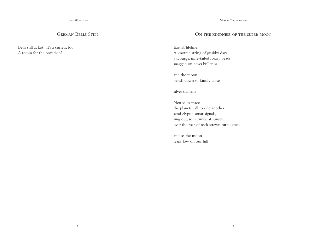JOHN WORTHEN

### GERMAN BELLS STILL

Bells still at last. It's a curfew, too, A tocsin for the boxed-in?

Moyra Tourlamain

### ON THE KINDNESS OF THE SUPER MOON

Earth's lifeline: A knotted string of grubby days a scourge, nine-tailed rosary beads snagged on news bulletins

and the moon bends down so kindly close

silver shaman

Netted in space the planets call to one another, send elyptic sonar signals, sing out, sometimes, at sunset, over the roar of rock strewn turbulence

and so the moon leans low on our hill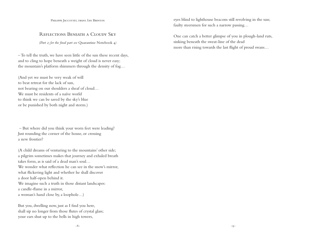PHILIPPE JACCOTTET, TRANS. IAN BRINTON

### Reflections Beneath a Cloudy Sky

*(Part 2; for the final part see* Quarantine Notebook 4*)*

– To tell the truth, we have seen little of the sun these recent days, and to cling to hope beneath a weight of cloud is never easy; the mountain's platform shimmers through the density of fog…

(And yet we must be very weak of will to beat retreat for the lack of sun, not bearing on our shoulders a sheaf of cloud… We must be residents of a naïve world to think we can be saved by the sky's blue or be punished by both night and storm.)

 – But where did you think your worn feet were leading? Just rounding the corner of the house, or crossing a new frontier?

(A child dreams of venturing to the mountains' other side; a pilgrim sometimes makes that journey and exhaled breath takes form, as is said of a dead man's soul… We wonder what reflection he can see in the snow's mirror, what flickering light and whether he shall discover a door half-open behind it. We imagine such a truth in those distant landscapes: a candle-flame in a mirror, a woman's hand close by, a loophole…)

But you, dwelling now, just as I find you here, shall sip no longer from those flutes of crystal glass; your ears shut up to the bells in high towers,

eyes blind to lighthouse beacons still revolving in the sun; faulty steersmen for such a narrow passing…

One can catch a better glimpse of you in plough-land ruts, sinking beneath the sweat-line of the dead more than rising towards the last flight of proud swans…